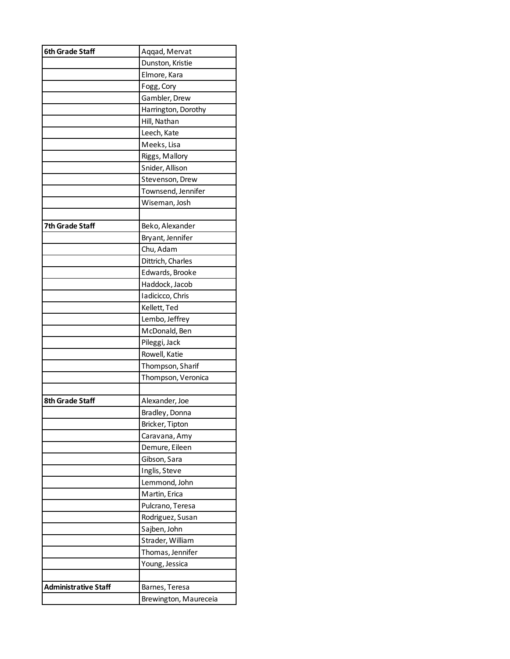| 6th Grade Staff             | Aqqad, Mervat         |
|-----------------------------|-----------------------|
|                             | Dunston, Kristie      |
|                             | Elmore, Kara          |
|                             | Fogg, Cory            |
|                             | Gambler, Drew         |
|                             | Harrington, Dorothy   |
|                             | Hill, Nathan          |
|                             | Leech, Kate           |
|                             | Meeks, Lisa           |
|                             | Riggs, Mallory        |
|                             | Snider, Allison       |
|                             | Stevenson, Drew       |
|                             | Townsend, Jennifer    |
|                             | Wiseman, Josh         |
|                             |                       |
| 7th Grade Staff             | Beko, Alexander       |
|                             | Bryant, Jennifer      |
|                             | Chu, Adam             |
|                             | Dittrich, Charles     |
|                             | Edwards, Brooke       |
|                             | Haddock, Jacob        |
|                             | Iadicicco, Chris      |
|                             | Kellett, Ted          |
|                             | Lembo, Jeffrey        |
|                             | McDonald, Ben         |
|                             | Pileggi, Jack         |
|                             | Rowell, Katie         |
|                             | Thompson, Sharif      |
|                             | Thompson, Veronica    |
|                             |                       |
| 8th Grade Staff             | Alexander, Joe        |
|                             | Bradley, Donna        |
|                             | Bricker, Tipton       |
|                             | Caravana, Amy         |
|                             | Demure, Eileen        |
|                             | Gibson, Sara          |
|                             | Inglis, Steve         |
|                             | Lemmond, John         |
|                             | Martin, Erica         |
|                             | Pulcrano, Teresa      |
|                             | Rodriguez, Susan      |
|                             | Sajben, John          |
|                             | Strader, William      |
|                             | Thomas, Jennifer      |
|                             | Young, Jessica        |
|                             |                       |
| <b>Administrative Staff</b> | Barnes, Teresa        |
|                             | Brewington, Maureceia |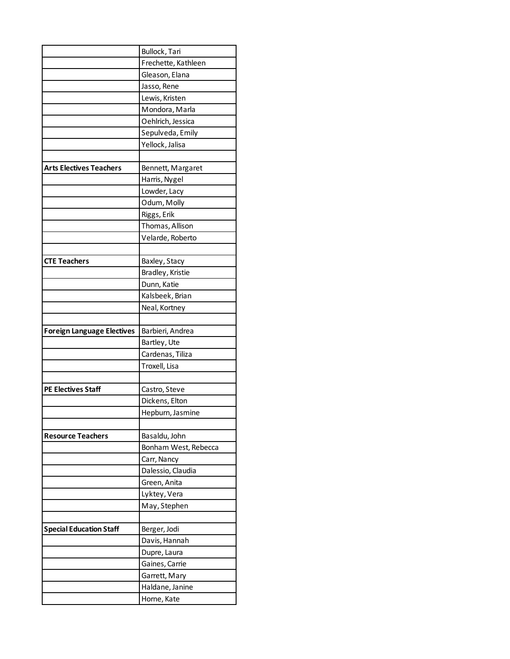|                                   | Bullock, Tari                   |
|-----------------------------------|---------------------------------|
|                                   | Frechette, Kathleen             |
|                                   | Gleason, Elana                  |
|                                   | Jasso, Rene                     |
|                                   | Lewis, Kristen                  |
|                                   | Mondora, Marla                  |
|                                   | Oehlrich, Jessica               |
|                                   | Sepulveda, Emily                |
|                                   | Yellock, Jalisa                 |
|                                   |                                 |
| <b>Arts Electives Teachers</b>    | Bennett, Margaret               |
|                                   | Harris, Nygel                   |
|                                   | Lowder, Lacy                    |
|                                   | Odum, Molly                     |
|                                   | Riggs, Erik                     |
|                                   | Thomas, Allison                 |
|                                   | Velarde, Roberto                |
|                                   |                                 |
| <b>CTE Teachers</b>               | Baxley, Stacy                   |
|                                   | Bradley, Kristie                |
|                                   | Dunn, Katie                     |
|                                   | Kalsbeek, Brian                 |
|                                   | Neal, Kortney                   |
|                                   |                                 |
|                                   |                                 |
| <b>Foreign Language Electives</b> | Barbieri, Andrea                |
|                                   | Bartley, Ute                    |
|                                   | Cardenas, Tiliza                |
|                                   | Troxell, Lisa                   |
|                                   |                                 |
| <b>PE Electives Staff</b>         | Castro, Steve                   |
|                                   | Dickens, Elton                  |
|                                   | Hepburn, Jasmine                |
|                                   |                                 |
| <b>Resource Teachers</b>          | Basaldu, John                   |
|                                   | Bonham West, Rebecca            |
|                                   | Carr, Nancy                     |
|                                   | Dalessio, Claudia               |
|                                   | Green, Anita                    |
|                                   | Lyktey, Vera                    |
|                                   | May, Stephen                    |
|                                   |                                 |
| <b>Special Education Staff</b>    | Berger, Jodi                    |
|                                   | Davis, Hannah                   |
|                                   | Dupre, Laura                    |
|                                   | Gaines, Carrie<br>Garrett, Mary |
|                                   |                                 |
|                                   | Haldane, Janine<br>Horne, Kate  |